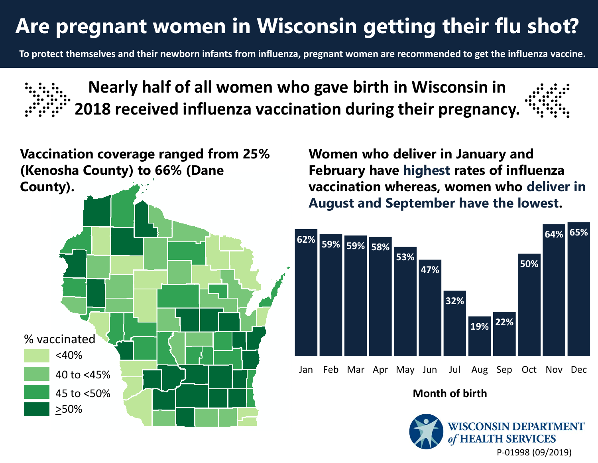## **Are pregnant women in Wisconsin getting their flu shot?**

**To protect themselves and their newborn infants from influenza, pregnant women are recommended to get the influenza vaccine.** 





**Women who deliver in January and February have highest rates of influenza vaccination whereas, women who deliver in August and September have the lowest.**